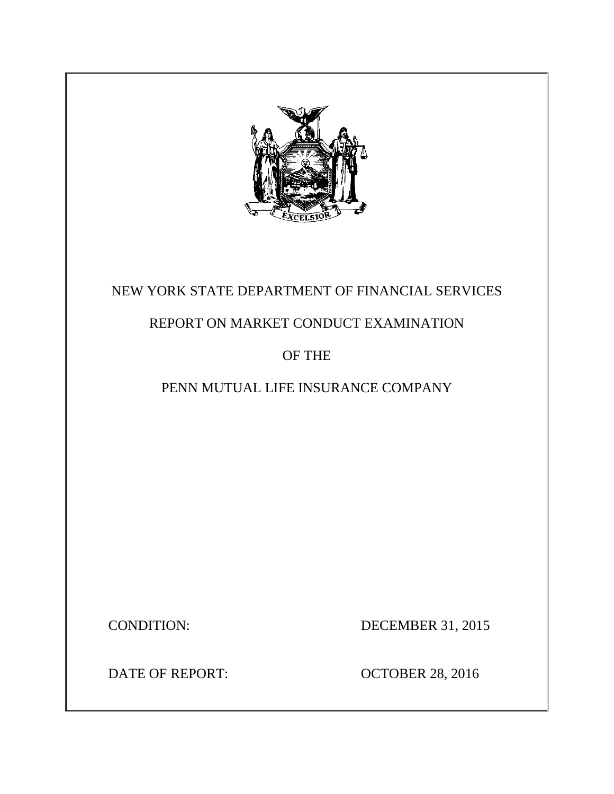

# NEW YORK STATE DEPARTMENT OF FINANCIAL SERVICES

# REPORT ON MARKET CONDUCT EXAMINATION

## OF THE

# PENN MUTUAL LIFE INSURANCE COMPANY

CONDITION: DECEMBER 31, 2015

DATE OF REPORT: OCTOBER 28, 2016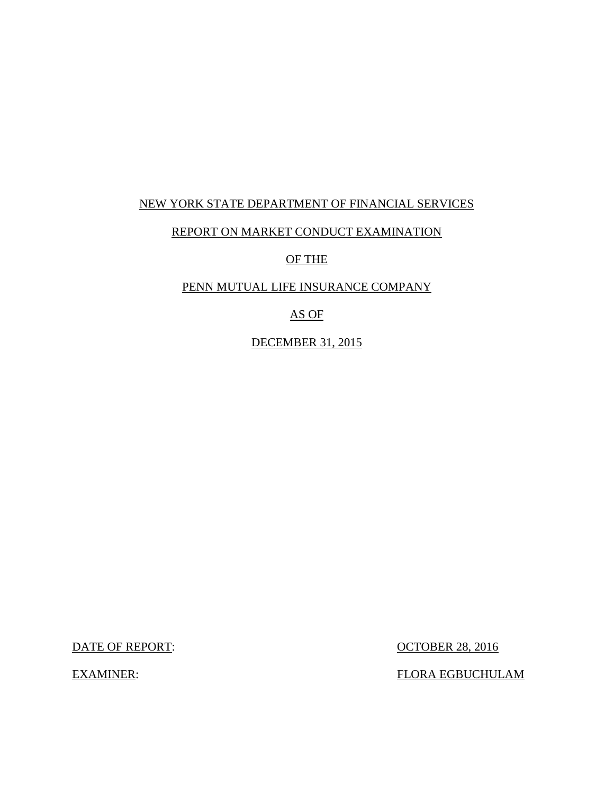#### NEW YORK STATE DEPARTMENT OF FINANCIAL SERVICES

#### REPORT ON MARKET CONDUCT EXAMINATION

OF THE

#### PENN MUTUAL LIFE INSURANCE COMPANY

AS OF

DECEMBER 31, 2015

DATE OF REPORT: OCTOBER 28, 2016

EXAMINER: FLORA EGBUCHULAM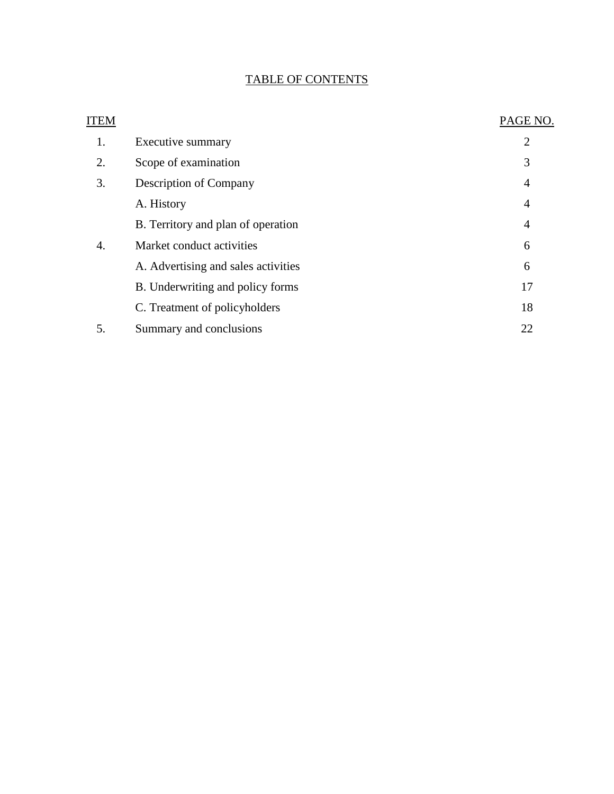### TABLE OF CONTENTS

| ITEM |                                     | PAGE NO.       |
|------|-------------------------------------|----------------|
| 1.   | Executive summary                   | $\overline{2}$ |
| 2.   | Scope of examination                | 3              |
| 3.   | Description of Company              | 4              |
|      | A. History                          | 4              |
|      | B. Territory and plan of operation  | 4              |
| 4.   | Market conduct activities           | 6              |
|      | A. Advertising and sales activities | 6              |
|      | B. Underwriting and policy forms    | 17             |
|      | C. Treatment of policyholders       | 18             |
| 5.   | Summary and conclusions             | 22             |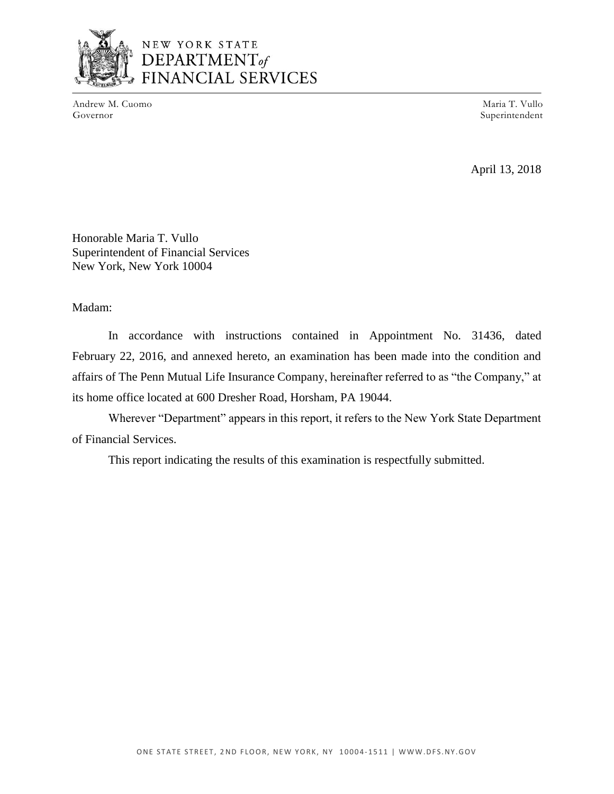

### NEW YORK STATE DEPARTMENT<sub>of</sub> **FINANCIAL SERVICES**

Andrew M. Cuomo Maria T. Vullo (Governor Maria T. Vullo Governor Maria T. Vullo Governor Maria T. Vullo Governor

Superintendent

April 13, 2018

Honorable Maria T. Vullo Superintendent of Financial Services New York, New York 10004

#### Madam:

 February 22, 2016, and annexed hereto, an examination has been made into the condition and affairs of The Penn Mutual Life Insurance Company, hereinafter referred to as "the Company," at In accordance with instructions contained in Appointment No. 31436, dated its home office located at 600 Dresher Road, Horsham, PA 19044.

 Wherever "Department" appears in this report, it refers to the New York State Department of Financial Services.

This report indicating the results of this examination is respectfully submitted.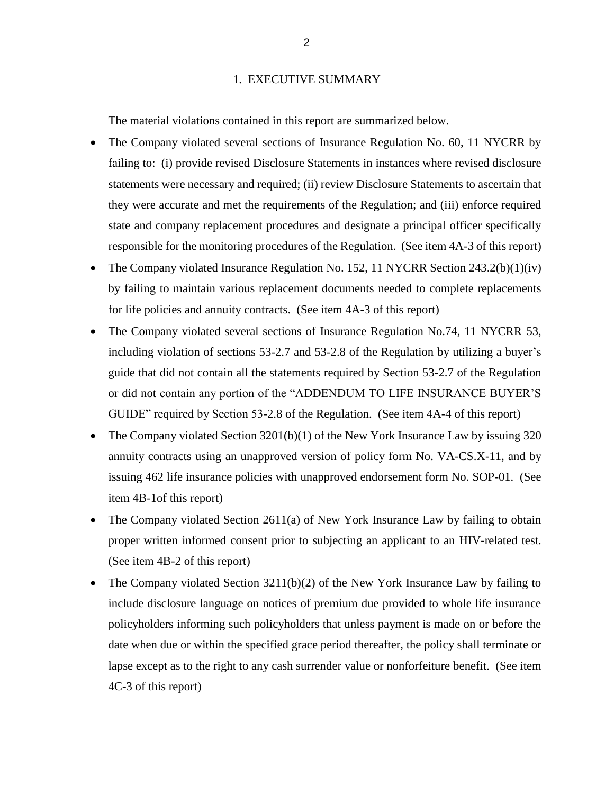#### 1. EXECUTIVE SUMMARY

<span id="page-4-0"></span>The material violations contained in this report are summarized below.

- The Company violated several sections of Insurance Regulation No. 60, 11 NYCRR by statements were necessary and required; (ii) review Disclosure Statements to ascertain that they were accurate and met the requirements of the Regulation; and (iii) enforce required state and company replacement procedures and designate a principal officer specifically failing to: (i) provide revised Disclosure Statements in instances where revised disclosure responsible for the monitoring procedures of the Regulation. (See item 4A-3 of this report)
- The Company violated Insurance Regulation No. 152, 11 NYCRR Section 243.2(b)(1)(iv) by failing to maintain various replacement documents needed to complete replacements for life policies and annuity contracts. (See item 4A-3 of this report)
- • The Company violated several sections of Insurance Regulation No.74, 11 NYCRR 53, including violation of sections 53-2.7 and 53-2.8 of the Regulation by utilizing a buyer's guide that did not contain all the statements required by Section 53-2.7 of the Regulation or did not contain any portion of the "ADDENDUM TO LIFE INSURANCE BUYER'S GUIDE" required by Section 53-2.8 of the Regulation. (See item 4A-4 of this report)
- The Company violated Section 3201(b)(1) of the New York Insurance Law by issuing 320 annuity contracts using an unapproved version of policy form No. VA-CS.X-11, and by issuing 462 life insurance policies with unapproved endorsement form No. SOP-01. (See item 4B-1of this report)
- The Company violated Section 2611(a) of New York Insurance Law by failing to obtain proper written informed consent prior to subjecting an applicant to an HIV-related test. (See item 4B-2 of this report)
- The Company violated Section 3211(b)(2) of the New York Insurance Law by failing to include disclosure language on notices of premium due provided to whole life insurance policyholders informing such policyholders that unless payment is made on or before the date when due or within the specified grace period thereafter, the policy shall terminate or lapse except as to the right to any cash surrender value or nonforfeiture benefit. (See item 4C-3 of this report)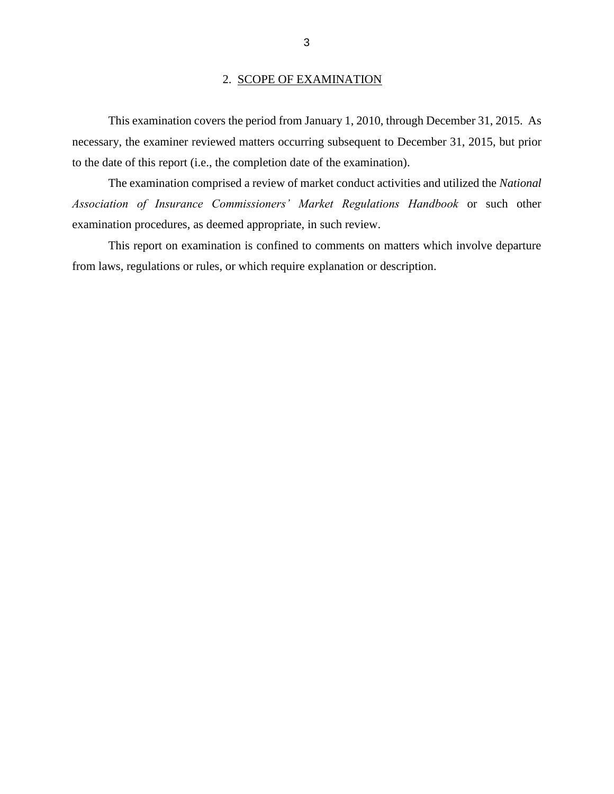#### 2. SCOPE OF EXAMINATION

<span id="page-5-0"></span> This examination covers the period from January 1, 2010, through December 31, 2015. As necessary, the examiner reviewed matters occurring subsequent to December 31, 2015, but prior to the date of this report (i.e., the completion date of the examination).

The examination comprised a review of market conduct activities and utilized the *National Association of Insurance Commissioners' Market Regulations Handbook* or such other examination procedures, as deemed appropriate, in such review.

This report on examination is confined to comments on matters which involve departure from laws, regulations or rules, or which require explanation or description.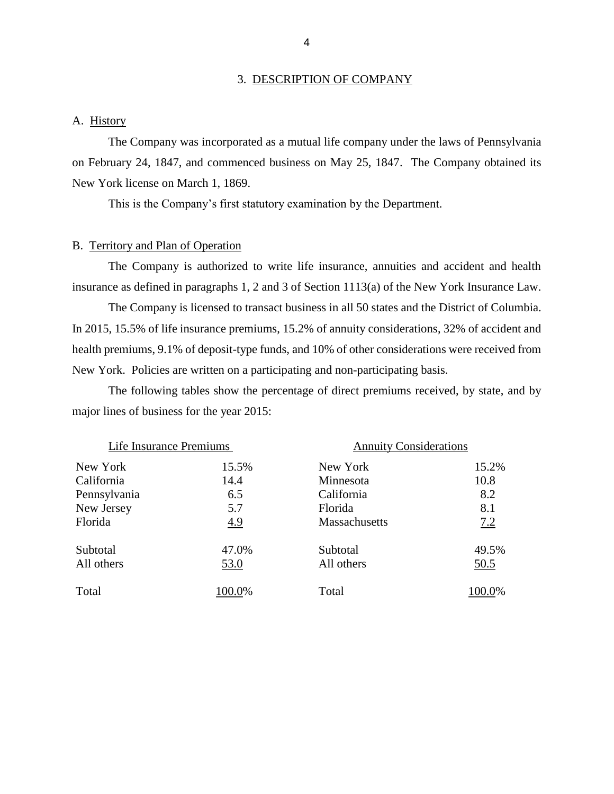#### 3. DESCRIPTION OF COMPANY

#### A. History

 The Company was incorporated as a mutual life company under the laws of Pennsylvania on February 24, 1847, and commenced business on May 25, 1847. The Company obtained its New York license on March 1, 1869.

This is the Company's first statutory examination by the Department.

#### B. Territory and Plan of Operation

 The Company is authorized to write life insurance, annuities and accident and health insurance as defined in paragraphs 1, 2 and 3 of Section 1113(a) of the New York Insurance Law.

 The Company is licensed to transact business in all 50 states and the District of Columbia. In 2015, 15.5% of life insurance premiums, 15.2% of annuity considerations, 32% of accident and health premiums, 9.1% of deposit-type funds, and 10% of other considerations were received from New York. Policies are written on a participating and non-participating basis.

The following tables show the percentage of direct premiums received, by state, and by major lines of business for the year 2015:

| Life Insurance Premiums |            | <b>Annuity Considerations</b> |        |
|-------------------------|------------|-------------------------------|--------|
| New York                | 15.5%      | New York                      | 15.2%  |
| California              | 14.4       | Minnesota                     | 10.8   |
| Pennsylvania            | 6.5        | California                    | 8.2    |
| New Jersey              | 5.7        | Florida                       | 8.1    |
| Florida                 | <u>4.9</u> | <b>Massachusetts</b>          | 7.2    |
| Subtotal                | 47.0%      | Subtotal                      | 49.5%  |
| All others              | 53.0       | All others                    | 50.5   |
| Total                   | 100.0%     | Total                         | 100.0% |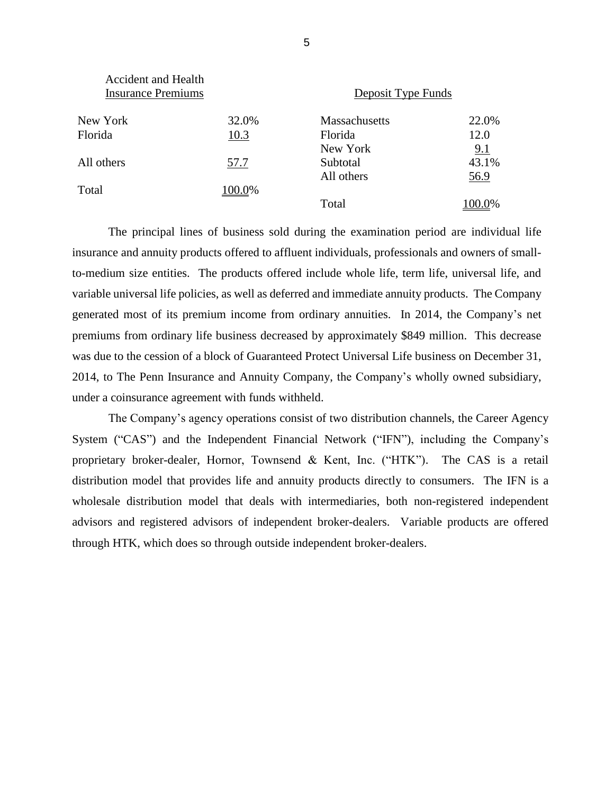| Accident and Health<br><b>Insurance Premiums</b> |        | Deposit Type Funds |        |  |
|--------------------------------------------------|--------|--------------------|--------|--|
| New York                                         | 32.0%  | Massachusetts      | 22.0%  |  |
| Florida                                          | 10.3   | Florida            | 12.0   |  |
|                                                  |        | New York           | 9.1    |  |
| All others                                       | 57.7   | Subtotal           | 43.1%  |  |
|                                                  |        | All others         | 56.9   |  |
| Total                                            | 100.0% |                    |        |  |
|                                                  |        | Total              | 100.0% |  |

 to-medium size entities. The products offered include whole life, term life, universal life, and variable universal life policies, as well as deferred and immediate annuity products. The Company generated most of its premium income from ordinary annuities. In 2014, the Company's net premiums from ordinary life business decreased by approximately \$849 million. This decrease The principal lines of business sold during the examination period are individual life insurance and annuity products offered to affluent individuals, professionals and owners of smallwas due to the cession of a block of Guaranteed Protect Universal Life business on December 31, 2014, to The Penn Insurance and Annuity Company, the Company's wholly owned subsidiary, under a coinsurance agreement with funds withheld.

 proprietary broker-dealer, Hornor, Townsend & Kent, Inc. ("HTK"). The CAS is a retail distribution model that provides life and annuity products directly to consumers. The IFN is a The Company's agency operations consist of two distribution channels, the Career Agency System ("CAS") and the Independent Financial Network ("IFN"), including the Company's wholesale distribution model that deals with intermediaries, both non-registered independent advisors and registered advisors of independent broker-dealers. Variable products are offered through HTK, which does so through outside independent broker-dealers.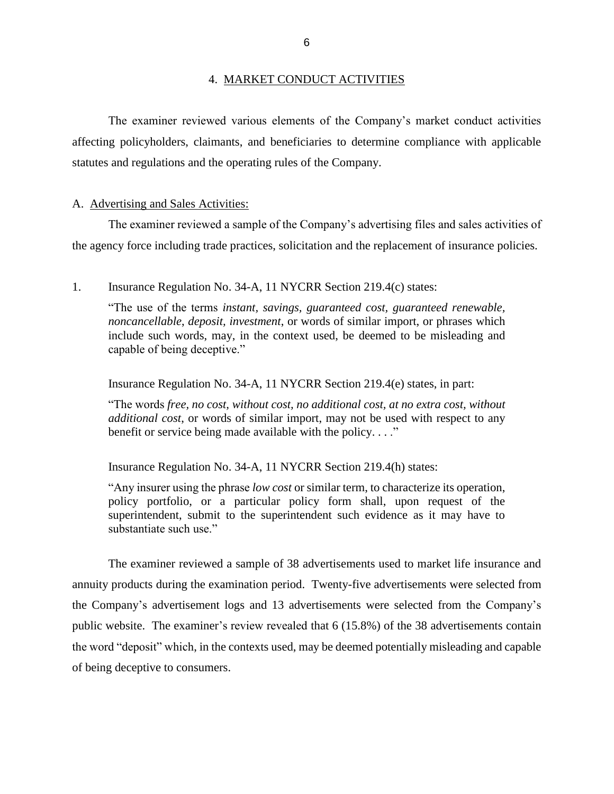#### 4. MARKET CONDUCT ACTIVITIES

<span id="page-8-0"></span> affecting policyholders, claimants, and beneficiaries to determine compliance with applicable The examiner reviewed various elements of the Company's market conduct activities statutes and regulations and the operating rules of the Company.

#### A. Advertising and Sales Activities:

 The examiner reviewed a sample of the Company's advertising files and sales activities of the agency force including trade practices, solicitation and the replacement of insurance policies.

1. Insurance Regulation No. 34-A, 11 NYCRR Section 219.4(c) states:

 "The use of the terms *instant, savings, guaranteed cost, guaranteed renewable, noncancellable*, *deposit, investment*, or words of similar import, or phrases which include such words, may, in the context used, be deemed to be misleading and capable of being deceptive."

Insurance Regulation No. 34-A, 11 NYCRR Section 219.4(e) states, in part:

 *additional cost*, or words of similar import, may not be used with respect to any "The words *free, no cost, without cost, no additional cost, at no extra cost, without*  benefit or service being made available with the policy...."

Insurance Regulation No. 34-A, 11 NYCRR Section 219.4(h) states:

 "Any insurer using the phrase *low cost* or similar term, to characterize its operation, policy portfolio, or a particular policy form shall, upon request of the superintendent, submit to the superintendent such evidence as it may have to substantiate such use."

 The examiner reviewed a sample of 38 advertisements used to market life insurance and the Company's advertisement logs and 13 advertisements were selected from the Company's public website. The examiner's review revealed that 6 (15.8%) of the 38 advertisements contain the word "deposit" which, in the contexts used, may be deemed potentially misleading and capable annuity products during the examination period. Twenty-five advertisements were selected from of being deceptive to consumers.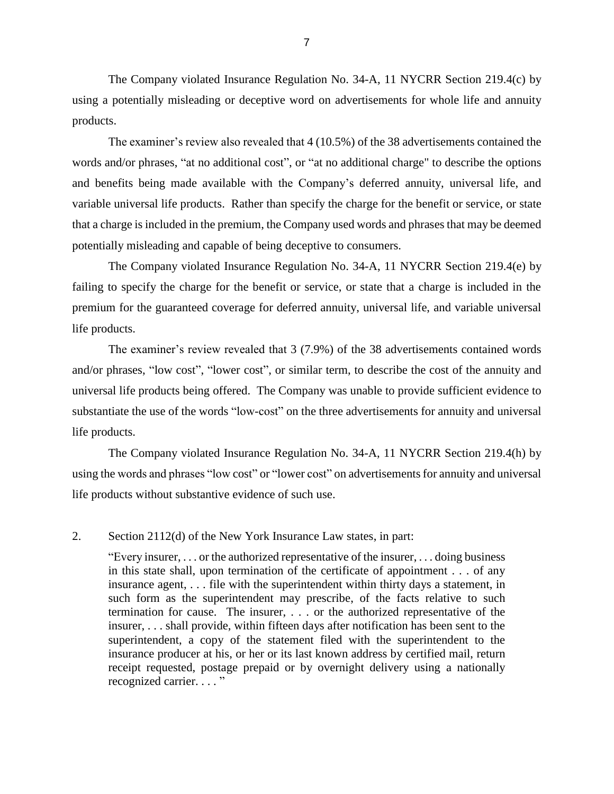The Company violated Insurance Regulation No. 34-A, 11 NYCRR Section 219.4(c) by using a potentially misleading or deceptive word on advertisements for whole life and annuity products.

 variable universal life products. Rather than specify the charge for the benefit or service, or state that a charge is included in the premium, the Company used words and phrases that may be deemed The examiner's review also revealed that 4 (10.5%) of the 38 advertisements contained the words and/or phrases, "at no additional cost", or "at no additional charge" to describe the options and benefits being made available with the Company's deferred annuity, universal life, and potentially misleading and capable of being deceptive to consumers.

 The Company violated Insurance Regulation No. 34-A, 11 NYCRR Section 219.4(e) by failing to specify the charge for the benefit or service, or state that a charge is included in the premium for the guaranteed coverage for deferred annuity, universal life, and variable universal life products.

 and/or phrases, "low cost", "lower cost", or similar term, to describe the cost of the annuity and substantiate the use of the words "low-cost" on the three advertisements for annuity and universal The examiner's review revealed that 3 (7.9%) of the 38 advertisements contained words universal life products being offered. The Company was unable to provide sufficient evidence to life products.

 The Company violated Insurance Regulation No. 34-A, 11 NYCRR Section 219.4(h) by using the words and phrases "low cost" or "lower cost" on advertisements for annuity and universal life products without substantive evidence of such use.

#### 2. Section 2112(d) of the New York Insurance Law states, in part:

"Every insurer, . . . or the authorized representative of the insurer, . . . doing business in this state shall, upon termination of the certificate of appointment . . . of any insurance agent, . . . file with the superintendent within thirty days a statement, in such form as the superintendent may prescribe, of the facts relative to such termination for cause. The insurer, . . . or the authorized representative of the insurer, . . . shall provide, within fifteen days after notification has been sent to the superintendent, a copy of the statement filed with the superintendent to the insurance producer at his, or her or its last known address by certified mail, return receipt requested, postage prepaid or by overnight delivery using a nationally recognized carrier. . . . "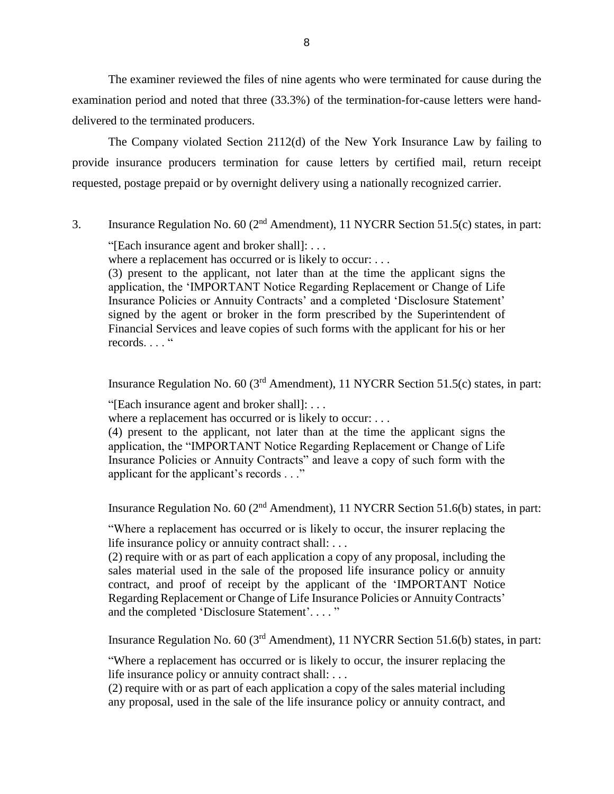The examiner reviewed the files of nine agents who were terminated for cause during the examination period and noted that three (33.3%) of the termination-for-cause letters were handdelivered to the terminated producers.

 The Company violated Section 2112(d) of the New York Insurance Law by failing to provide insurance producers termination for cause letters by certified mail, return receipt requested, postage prepaid or by overnight delivery using a nationally recognized carrier.

3. Insurance Regulation No. 60 (2nd Amendment), 11 NYCRR Section 51.5(c) states, in part:

"[Each insurance agent and broker shall]: . . .

where a replacement has occurred or is likely to occur: . . .

 application, the 'IMPORTANT Notice Regarding Replacement or Change of Life Insurance Policies or Annuity Contracts' and a completed 'Disclosure Statement' signed by the agent or broker in the form prescribed by the Superintendent of (3) present to the applicant, not later than at the time the applicant signs the Financial Services and leave copies of such forms with the applicant for his or her records...."

Insurance Regulation No.  $60 \text{ (3}^{\text{rd}}$  Amendment), 11 NYCRR Section 51.5(c) states, in part:

"[Each insurance agent and broker shall]: . . .

where a replacement has occurred or is likely to occur: ...

 application, the "IMPORTANT Notice Regarding Replacement or Change of Life Insurance Policies or Annuity Contracts" and leave a copy of such form with the (4) present to the applicant, not later than at the time the applicant signs the applicant for the applicant's records . . ."

Insurance Regulation No.  $60 (2<sup>nd</sup> Amendment)$ , 11 NYCRR Section 51.6(b) states, in part:

 "Where a replacement has occurred or is likely to occur, the insurer replacing the life insurance policy or annuity contract shall: . . .

 (2) require with or as part of each application a copy of any proposal, including the sales material used in the sale of the proposed life insurance policy or annuity contract, and proof of receipt by the applicant of the 'IMPORTANT Notice Regarding Replacement or Change of Life Insurance Policies or Annuity Contracts' and the completed 'Disclosure Statement'. . . . "

Insurance Regulation No. 60 (3rd Amendment), 11 NYCRR Section 51.6(b) states, in part:

 "Where a replacement has occurred or is likely to occur, the insurer replacing the life insurance policy or annuity contract shall: . . .

 (2) require with or as part of each application a copy of the sales material including any proposal, used in the sale of the life insurance policy or annuity contract, and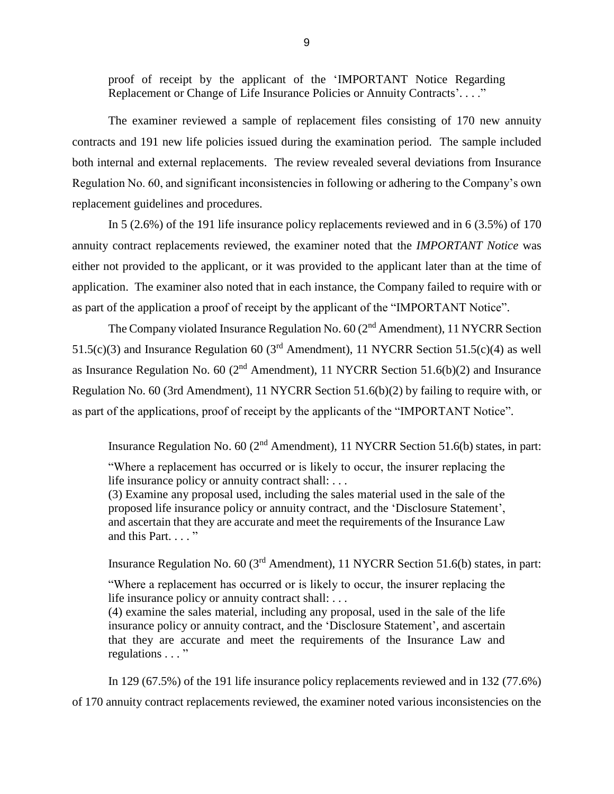proof of receipt by the applicant of the 'IMPORTANT Notice Regarding Replacement or Change of Life Insurance Policies or Annuity Contracts'...."

 The examiner reviewed a sample of replacement files consisting of 170 new annuity contracts and 191 new life policies issued during the examination period. The sample included both internal and external replacements. The review revealed several deviations from Insurance Regulation No. 60, and significant inconsistencies in following or adhering to the Company's own replacement guidelines and procedures.

In 5 (2.6%) of the 191 life insurance policy replacements reviewed and in 6 (3.5%) of 170 annuity contract replacements reviewed, the examiner noted that the *IMPORTANT Notice* was either not provided to the applicant, or it was provided to the applicant later than at the time of application. The examiner also noted that in each instance, the Company failed to require with or as part of the application a proof of receipt by the applicant of the "IMPORTANT Notice".

The Company violated Insurance Regulation No. 60 (2<sup>nd</sup> Amendment), 11 NYCRR Section as Insurance Regulation No. 60 ( $2<sup>nd</sup>$  Amendment), 11 NYCRR Section 51.6(b)(2) and Insurance 51.5(c)(3) and Insurance Regulation 60 ( $3<sup>rd</sup>$  Amendment), 11 NYCRR Section 51.5(c)(4) as well Regulation No. 60 (3rd Amendment), 11 NYCRR Section 51.6(b)(2) by failing to require with, or as part of the applications, proof of receipt by the applicants of the "IMPORTANT Notice".

Insurance Regulation No. 60 ( $2<sup>nd</sup>$  Amendment), 11 NYCRR Section 51.6(b) states, in part:

 "Where a replacement has occurred or is likely to occur, the insurer replacing the life insurance policy or annuity contract shall: . . .

 (3) Examine any proposal used, including the sales material used in the sale of the and ascertain that they are accurate and meet the requirements of the Insurance Law proposed life insurance policy or annuity contract, and the 'Disclosure Statement', and this Part. . . . "

Insurance Regulation No. 60 (3rd Amendment), 11 NYCRR Section 51.6(b) states, in part:

 "Where a replacement has occurred or is likely to occur, the insurer replacing the life insurance policy or annuity contract shall: . . .

 (4) examine the sales material, including any proposal, used in the sale of the life that they are accurate and meet the requirements of the Insurance Law and insurance policy or annuity contract, and the 'Disclosure Statement', and ascertain regulations . . . "

 In 129 (67.5%) of the 191 life insurance policy replacements reviewed and in 132 (77.6%) of 170 annuity contract replacements reviewed, the examiner noted various inconsistencies on the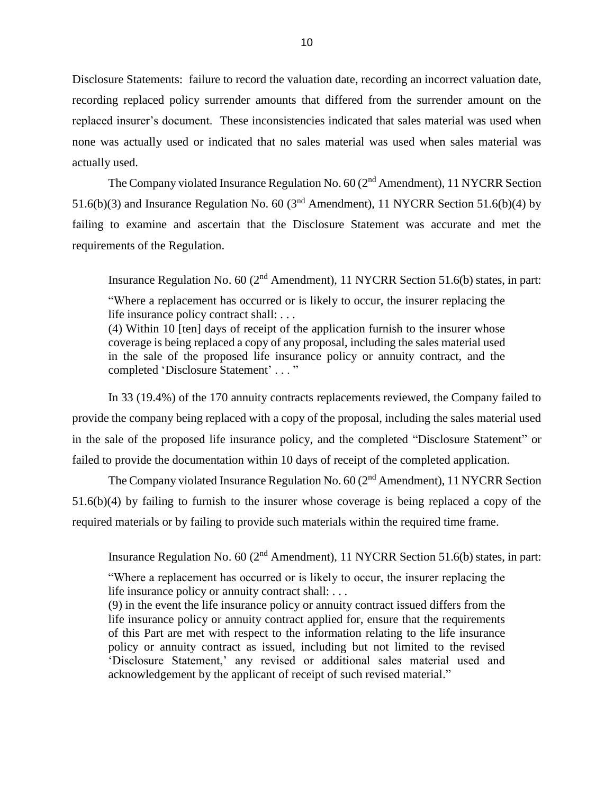Disclosure Statements: failure to record the valuation date, recording an incorrect valuation date, recording replaced policy surrender amounts that differed from the surrender amount on the replaced insurer's document. These inconsistencies indicated that sales material was used when none was actually used or indicated that no sales material was used when sales material was actually used.

The Company violated Insurance Regulation No. 60 (2<sup>nd</sup> Amendment), 11 NYCRR Section 51.6(b)(3) and Insurance Regulation No. 60 ( $3<sup>nd</sup>$  Amendment), 11 NYCRR Section 51.6(b)(4) by failing to examine and ascertain that the Disclosure Statement was accurate and met the requirements of the Regulation.

Insurance Regulation No. 60 ( $2<sup>nd</sup>$  Amendment), 11 NYCRR Section 51.6(b) states, in part:

 "Where a replacement has occurred or is likely to occur, the insurer replacing the life insurance policy contract shall: . . .

 (4) Within 10 [ten] days of receipt of the application furnish to the insurer whose coverage is being replaced a copy of any proposal, including the sales material used in the sale of the proposed life insurance policy or annuity contract, and the completed 'Disclosure Statement' . . . "

 In 33 (19.4%) of the 170 annuity contracts replacements reviewed, the Company failed to provide the company being replaced with a copy of the proposal, including the sales material used in the sale of the proposed life insurance policy, and the completed "Disclosure Statement" or failed to provide the documentation within 10 days of receipt of the completed application.

The Company violated Insurance Regulation No. 60 (2<sup>nd</sup> Amendment), 11 NYCRR Section 51.6(b)(4) by failing to furnish to the insurer whose coverage is being replaced a copy of the required materials or by failing to provide such materials within the required time frame.

Insurance Regulation No. 60 ( $2<sup>nd</sup>$  Amendment), 11 NYCRR Section 51.6(b) states, in part:

 "Where a replacement has occurred or is likely to occur, the insurer replacing the life insurance policy or annuity contract shall: . . .

 life insurance policy or annuity contract applied for, ensure that the requirements of this Part are met with respect to the information relating to the life insurance policy or annuity contract as issued, including but not limited to the revised 'Disclosure Statement,' any revised or additional sales material used and (9) in the event the life insurance policy or annuity contract issued differs from the acknowledgement by the applicant of receipt of such revised material."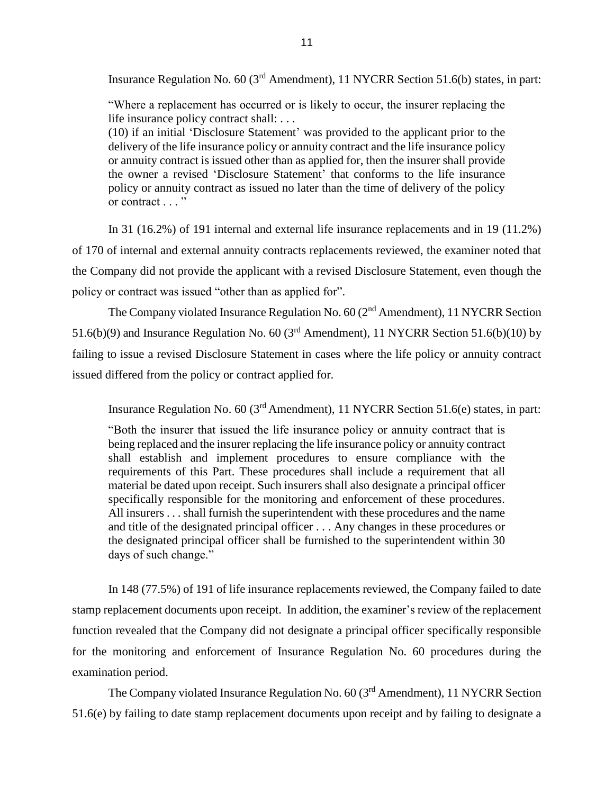Insurance Regulation No. 60 (3rd Amendment), 11 NYCRR Section 51.6(b) states, in part:

 "Where a replacement has occurred or is likely to occur, the insurer replacing the life insurance policy contract shall: . . .

 delivery of the life insurance policy or annuity contract and the life insurance policy or annuity contract is issued other than as applied for, then the insurer shall provide the owner a revised 'Disclosure Statement' that conforms to the life insurance policy or annuity contract as issued no later than the time of delivery of the policy (10) if an initial 'Disclosure Statement' was provided to the applicant prior to the or contract . . . "

 In 31 (16.2%) of 191 internal and external life insurance replacements and in 19 (11.2%) of 170 of internal and external annuity contracts replacements reviewed, the examiner noted that the Company did not provide the applicant with a revised Disclosure Statement, even though the policy or contract was issued "other than as applied for".

The Company violated Insurance Regulation No. 60 (2<sup>nd</sup> Amendment), 11 NYCRR Section 51.6(b)(9) and Insurance Regulation No. 60 ( $3<sup>rd</sup>$  Amendment), 11 NYCRR Section 51.6(b)(10) by failing to issue a revised Disclosure Statement in cases where the life policy or annuity contract issued differed from the policy or contract applied for.

Insurance Regulation No. 60 (3rd Amendment), 11 NYCRR Section 51.6(e) states, in part:

 "Both the insurer that issued the life insurance policy or annuity contract that is being replaced and the insurer replacing the life insurance policy or annuity contract shall establish and implement procedures to ensure compliance with the requirements of this Part. These procedures shall include a requirement that all material be dated upon receipt. Such insurers shall also designate a principal officer specifically responsible for the monitoring and enforcement of these procedures. All insurers . . . shall furnish the superintendent with these procedures and the name the designated principal officer shall be furnished to the superintendent within 30 and title of the designated principal officer . . . Any changes in these procedures or days of such change."

 In 148 (77.5%) of 191 of life insurance replacements reviewed, the Company failed to date function revealed that the Company did not designate a principal officer specifically responsible for the monitoring and enforcement of Insurance Regulation No. 60 procedures during the stamp replacement documents upon receipt. In addition, the examiner's review of the replacement examination period.

The Company violated Insurance Regulation No. 60 (3<sup>rd</sup> Amendment), 11 NYCRR Section 51.6(e) by failing to date stamp replacement documents upon receipt and by failing to designate a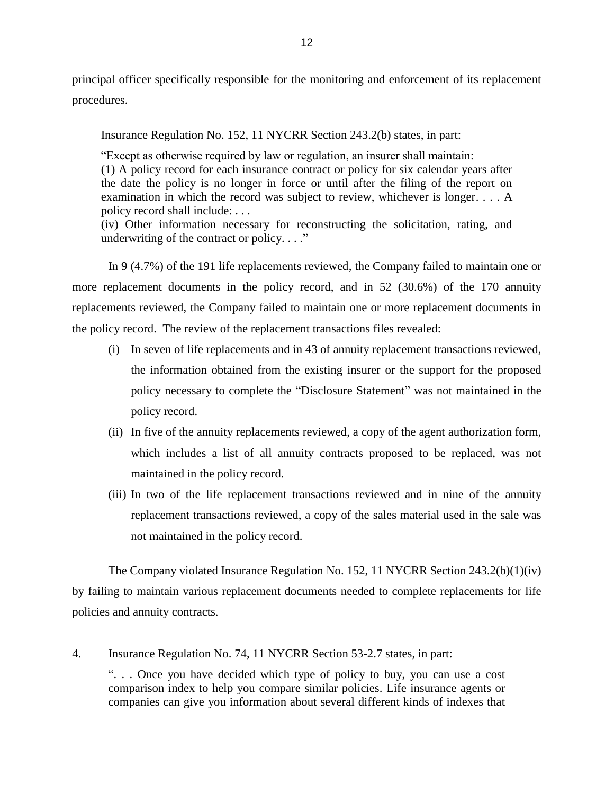principal officer specifically responsible for the monitoring and enforcement of its replacement procedures.

Insurance Regulation No. 152, 11 NYCRR Section 243.2(b) states, in part:

 (1) A policy record for each insurance contract or policy for six calendar years after the date the policy is no longer in force or until after the filing of the report on examination in which the record was subject to review, whichever is longer. . . . A "Except as otherwise required by law or regulation, an insurer shall maintain: policy record shall include: . . .

 (iv) Other information necessary for reconstructing the solicitation, rating, and underwriting of the contract or policy.  $\ldots$ "

 replacements reviewed, the Company failed to maintain one or more replacement documents in In 9 (4.7%) of the 191 life replacements reviewed, the Company failed to maintain one or more replacement documents in the policy record, and in 52 (30.6%) of the 170 annuity the policy record. The review of the replacement transactions files revealed:

- policy necessary to complete the "Disclosure Statement" was not maintained in the (i) In seven of life replacements and in 43 of annuity replacement transactions reviewed, the information obtained from the existing insurer or the support for the proposed policy record.
- (ii) In five of the annuity replacements reviewed, a copy of the agent authorization form, which includes a list of all annuity contracts proposed to be replaced, was not maintained in the policy record.
- replacement transactions reviewed, a copy of the sales material used in the sale was (iii) In two of the life replacement transactions reviewed and in nine of the annuity not maintained in the policy record.

 The Company violated Insurance Regulation No. 152, 11 NYCRR Section 243.2(b)(1)(iv) by failing to maintain various replacement documents needed to complete replacements for life policies and annuity contracts.

 ". . . Once you have decided which type of policy to buy, you can use a cost comparison index to help you compare similar policies. Life insurance agents or companies can give you information about several different kinds of indexes that 4. Insurance Regulation No. 74, 11 NYCRR Section 53-2.7 states, in part: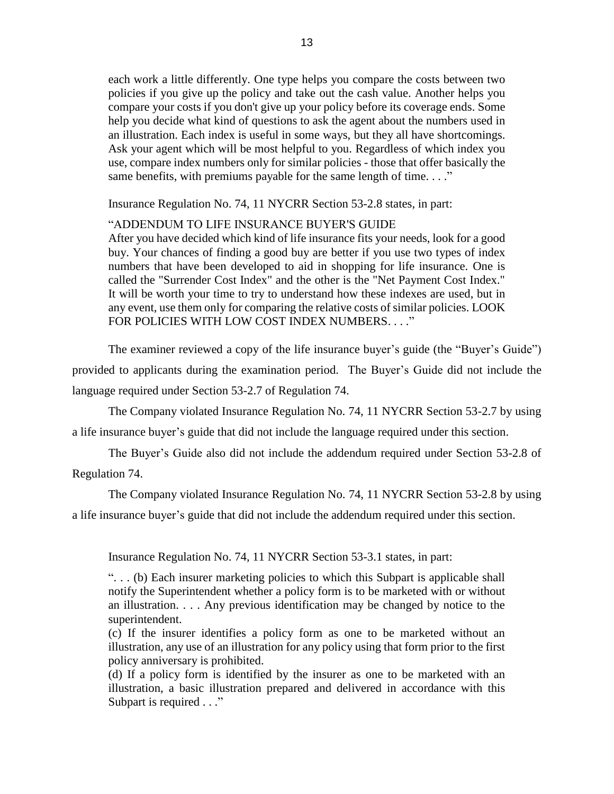each work a little differently. One type helps you compare the costs between two policies if you give up the policy and take out the cash value. Another helps you compare your costs if you don't give up your policy before its coverage ends. Some an illustration. Each index is useful in some ways, but they all have shortcomings. Ask your agent which will be most helpful to you. Regardless of which index you use, compare index numbers only for similar policies - those that offer basically the help you decide what kind of questions to ask the agent about the numbers used in same benefits, with premiums payable for the same length of time. . . ."

Insurance Regulation No. 74, 11 NYCRR Section 53-2.8 states, in part:

"ADDENDUM TO LIFE INSURANCE BUYER'S GUIDE

 After you have decided which kind of life insurance fits your needs, look for a good buy. Your chances of finding a good buy are better if you use two types of index numbers that have been developed to aid in shopping for life insurance. One is It will be worth your time to try to understand how these indexes are used, but in any event, use them only for comparing the relative costs of similar policies. LOOK called the "Surrender Cost Index" and the other is the "Net Payment Cost Index." FOR POLICIES WITH LOW COST INDEX NUMBERS...."

The examiner reviewed a copy of the life insurance buyer's guide (the "Buyer's Guide") provided to applicants during the examination period. The Buyer's Guide did not include the language required under Section 53-2.7 of Regulation 74.

 The Company violated Insurance Regulation No. 74, 11 NYCRR Section 53-2.7 by using a life insurance buyer's guide that did not include the language required under this section.

The Buyer's Guide also did not include the addendum required under Section 53-2.8 of Regulation 74.

 The Company violated Insurance Regulation No. 74, 11 NYCRR Section 53-2.8 by using a life insurance buyer's guide that did not include the addendum required under this section.

Insurance Regulation No. 74, 11 NYCRR Section 53-3.1 states, in part:

 ". . . (b) Each insurer marketing policies to which this Subpart is applicable shall notify the Superintendent whether a policy form is to be marketed with or without an illustration. . . . Any previous identification may be changed by notice to the superintendent.

 (c) If the insurer identifies a policy form as one to be marketed without an illustration, any use of an illustration for any policy using that form prior to the first policy anniversary is prohibited.

 (d) If a policy form is identified by the insurer as one to be marketed with an illustration, a basic illustration prepared and delivered in accordance with this Subpart is required . . ."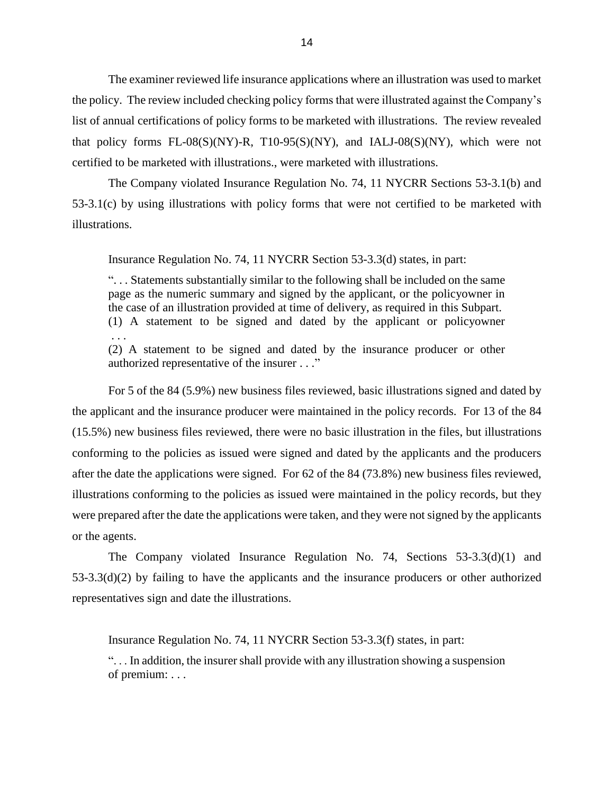list of annual certifications of policy forms to be marketed with illustrations. The review revealed that policy forms  $FL-08(S)(NY)$ -R,  $T10-95(S)(NY)$ , and  $IALJ-08(S)(NY)$ , which were not The examiner reviewed life insurance applications where an illustration was used to market the policy. The review included checking policy forms that were illustrated against the Company's certified to be marketed with illustrations., were marketed with illustrations.

 The Company violated Insurance Regulation No. 74, 11 NYCRR Sections 53-3.1(b) and 53-3.1(c) by using illustrations with policy forms that were not certified to be marketed with illustrations.

Insurance Regulation No. 74, 11 NYCRR Section 53-3.3(d) states, in part:

 ". . . Statements substantially similar to the following shall be included on the same page as the numeric summary and signed by the applicant, or the policyowner in (1) A statement to be signed and dated by the applicant or policyowner the case of an illustration provided at time of delivery, as required in this Subpart. . . .

(2) A statement to be signed and dated by the insurance producer or other authorized representative of the insurer . . ."

 conforming to the policies as issued were signed and dated by the applicants and the producers illustrations conforming to the policies as issued were maintained in the policy records, but they For 5 of the 84 (5.9%) new business files reviewed, basic illustrations signed and dated by the applicant and the insurance producer were maintained in the policy records. For 13 of the 84 (15.5%) new business files reviewed, there were no basic illustration in the files, but illustrations after the date the applications were signed. For 62 of the 84 (73.8%) new business files reviewed, were prepared after the date the applications were taken, and they were not signed by the applicants or the agents.

 The Company violated Insurance Regulation No. 74, Sections 53-3.3(d)(1) and 53-3.3(d)(2) by failing to have the applicants and the insurance producers or other authorized representatives sign and date the illustrations.

Insurance Regulation No. 74, 11 NYCRR Section 53-3.3(f) states, in part:

 ". . . In addition, the insurer shall provide with any illustration showing a suspension of premium: . . .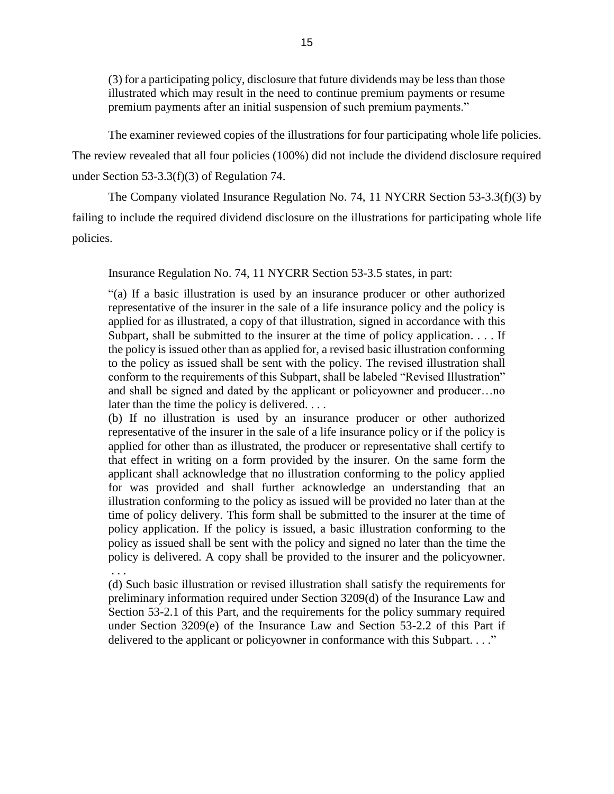(3) for a participating policy, disclosure that future dividends may be less than those illustrated which may result in the need to continue premium payments or resume premium payments after an initial suspension of such premium payments."

 The examiner reviewed copies of the illustrations for four participating whole life policies. The review revealed that all four policies (100%) did not include the dividend disclosure required under Section 53-3.3(f)(3) of Regulation 74.

 The Company violated Insurance Regulation No. 74, 11 NYCRR Section 53-3.3(f)(3) by failing to include the required dividend disclosure on the illustrations for participating whole life policies.

Insurance Regulation No. 74, 11 NYCRR Section 53-3.5 states, in part:

 "(a) If a basic illustration is used by an insurance producer or other authorized representative of the insurer in the sale of a life insurance policy and the policy is applied for as illustrated, a copy of that illustration, signed in accordance with this Subpart, shall be submitted to the insurer at the time of policy application. . . . If the policy is issued other than as applied for, a revised basic illustration conforming to the policy as issued shall be sent with the policy. The revised illustration shall conform to the requirements of this Subpart, shall be labeled "Revised Illustration" and shall be signed and dated by the applicant or policyowner and producer…no later than the time the policy is delivered. . . .

 (b) If no illustration is used by an insurance producer or other authorized representative of the insurer in the sale of a life insurance policy or if the policy is applied for other than as illustrated, the producer or representative shall certify to that effect in writing on a form provided by the insurer. On the same form the applicant shall acknowledge that no illustration conforming to the policy applied for was provided and shall further acknowledge an understanding that an illustration conforming to the policy as issued will be provided no later than at the time of policy delivery. This form shall be submitted to the insurer at the time of policy application. If the policy is issued, a basic illustration conforming to the policy as issued shall be sent with the policy and signed no later than the time the policy is delivered. A copy shall be provided to the insurer and the policyowner. . . .

 (d) Such basic illustration or revised illustration shall satisfy the requirements for preliminary information required under Section 3209(d) of the Insurance Law and Section 53-2.1 of this Part, and the requirements for the policy summary required under Section 3209(e) of the Insurance Law and Section 53-2.2 of this Part if delivered to the applicant or policyowner in conformance with this Subpart. . . ."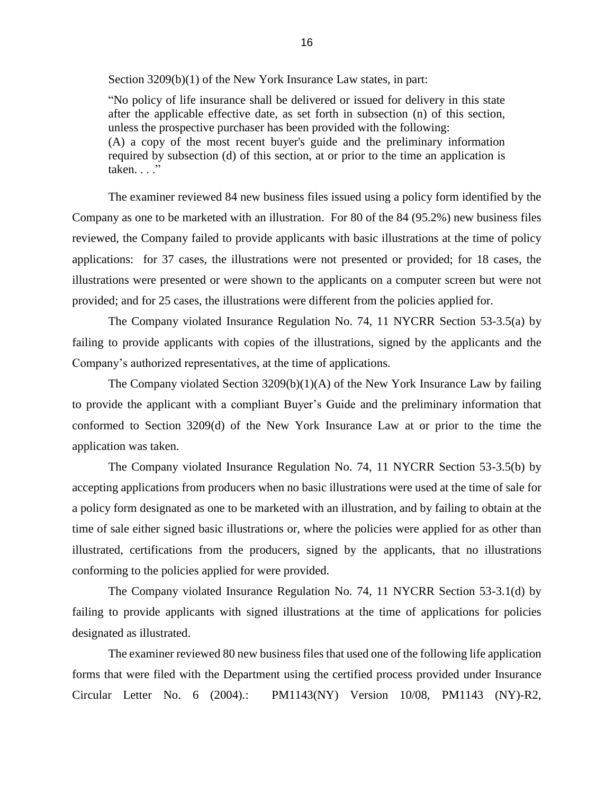Section 3209(b)(1) of the New York Insurance Law states, in part:

 "No policy of life insurance shall be delivered or issued for delivery in this state after the applicable effective date, as set forth in subsection (n) of this section, (A) a copy of the most recent buyer's guide and the preliminary information unless the prospective purchaser has been provided with the following: required by subsection (d) of this section, at or prior to the time an application is  $taken.$ ... $'$ 

 The examiner reviewed 84 new business files issued using a policy form identified by the Company as one to be marketed with an illustration. For 80 of the 84 (95.2%) new business files applications: for 37 cases, the illustrations were not presented or provided; for 18 cases, the reviewed, the Company failed to provide applicants with basic illustrations at the time of policy illustrations were presented or were shown to the applicants on a computer screen but were not provided; and for 25 cases, the illustrations were different from the policies applied for.

 The Company violated Insurance Regulation No. 74, 11 NYCRR Section 53-3.5(a) by failing to provide applicants with copies of the illustrations, signed by the applicants and the Company's authorized representatives, at the time of applications.

 The Company violated Section 3209(b)(1)(A) of the New York Insurance Law by failing to provide the applicant with a compliant Buyer's Guide and the preliminary information that conformed to Section 3209(d) of the New York Insurance Law at or prior to the time the application was taken.

 The Company violated Insurance Regulation No. 74, 11 NYCRR Section 53-3.5(b) by accepting applications from producers when no basic illustrations were used at the time of sale for a policy form designated as one to be marketed with an illustration, and by failing to obtain at the time of sale either signed basic illustrations or, where the policies were applied for as other than illustrated, certifications from the producers, signed by the applicants, that no illustrations conforming to the policies applied for were provided.

 The Company violated Insurance Regulation No. 74, 11 NYCRR Section 53-3.1(d) by failing to provide applicants with signed illustrations at the time of applications for policies designated as illustrated.

 forms that were filed with the Department using the certified process provided under Insurance The examiner reviewed 80 new business files that used one of the following life application Circular Letter No. 6 (2004).: PM1143(NY) Version 10/08, PM1143 (NY)-R2,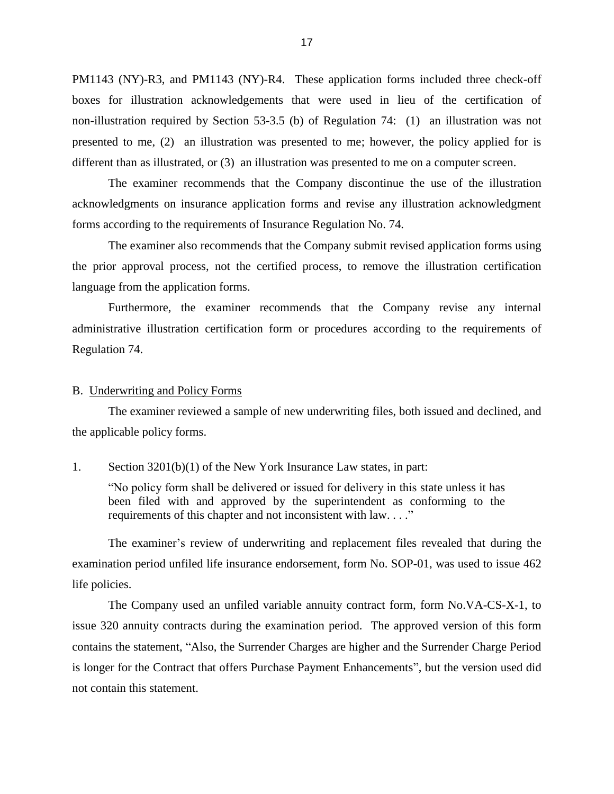<span id="page-19-0"></span> non-illustration required by Section 53-3.5 (b) of Regulation 74: (1) an illustration was not presented to me, (2) an illustration was presented to me; however, the policy applied for is different than as illustrated, or (3) an illustration was presented to me on a computer screen. PM1143 (NY)-R3, and PM1143 (NY)-R4. These application forms included three check-off boxes for illustration acknowledgements that were used in lieu of the certification of

 The examiner recommends that the Company discontinue the use of the illustration acknowledgments on insurance application forms and revise any illustration acknowledgment forms according to the requirements of Insurance Regulation No. 74.

 The examiner also recommends that the Company submit revised application forms using the prior approval process, not the certified process, to remove the illustration certification language from the application forms.

 Furthermore, the examiner recommends that the Company revise any internal administrative illustration certification form or procedures according to the requirements of Regulation 74.

#### B. Underwriting and Policy Forms

 The examiner reviewed a sample of new underwriting files, both issued and declined, and the applicable policy forms.

#### 1. Section 3201(b)(1) of the New York Insurance Law states, in part:

 "No policy form shall be delivered or issued for delivery in this state unless it has been filed with and approved by the superintendent as conforming to the requirements of this chapter and not inconsistent with law. . . ."

 examination period unfiled life insurance endorsement, form No. SOP-01, was used to issue 462 The examiner's review of underwriting and replacement files revealed that during the life policies.

 The Company used an unfiled variable annuity contract form, form No.VA-CS-X-1, to issue 320 annuity contracts during the examination period. The approved version of this form contains the statement, "Also, the Surrender Charges are higher and the Surrender Charge Period is longer for the Contract that offers Purchase Payment Enhancements", but the version used did not contain this statement.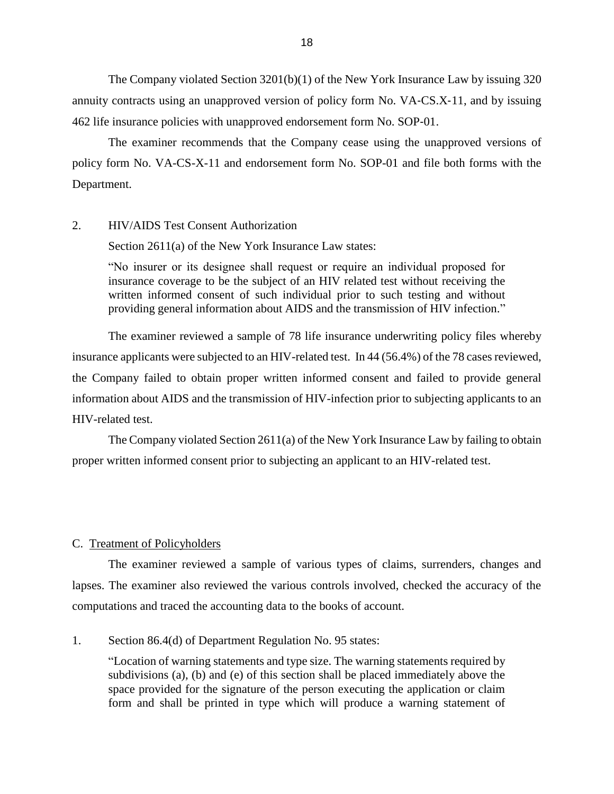<span id="page-20-0"></span> annuity contracts using an unapproved version of policy form No. VA‐CS.X‐11, and by issuing The Company violated Section 3201(b)(1) of the New York Insurance Law by issuing 320 462 life insurance policies with unapproved endorsement form No. SOP‐01.

The examiner recommends that the Company cease using the unapproved versions of policy form No. VA-CS-X-11 and endorsement form No. SOP-01 and file both forms with the Department.

#### 2. HIV/AIDS Test Consent Authorization

Section 2611(a) of the New York Insurance Law states:

 "No insurer or its designee shall request or require an individual proposed for insurance coverage to be the subject of an HIV related test without receiving the written informed consent of such individual prior to such testing and without providing general information about AIDS and the transmission of HIV infection."

 The examiner reviewed a sample of 78 life insurance underwriting policy files whereby insurance applicants were subjected to an HIV-related test. In 44 (56.4%) of the 78 cases reviewed, the Company failed to obtain proper written informed consent and failed to provide general information about AIDS and the transmission of HIV-infection prior to subjecting applicants to an HIV-related test.

 The Company violated Section 2611(a) of the New York Insurance Law by failing to obtain proper written informed consent prior to subjecting an applicant to an HIV-related test.

#### C. Treatment of Policyholders

 lapses. The examiner also reviewed the various controls involved, checked the accuracy of the The examiner reviewed a sample of various types of claims, surrenders, changes and computations and traced the accounting data to the books of account.

#### 1. Section 86.4(d) of Department Regulation No. 95 states:

 "Location of warning statements and type size. The warning statements required by subdivisions (a), (b) and (e) of this section shall be placed immediately above the space provided for the signature of the person executing the application or claim form and shall be printed in type which will produce a warning statement of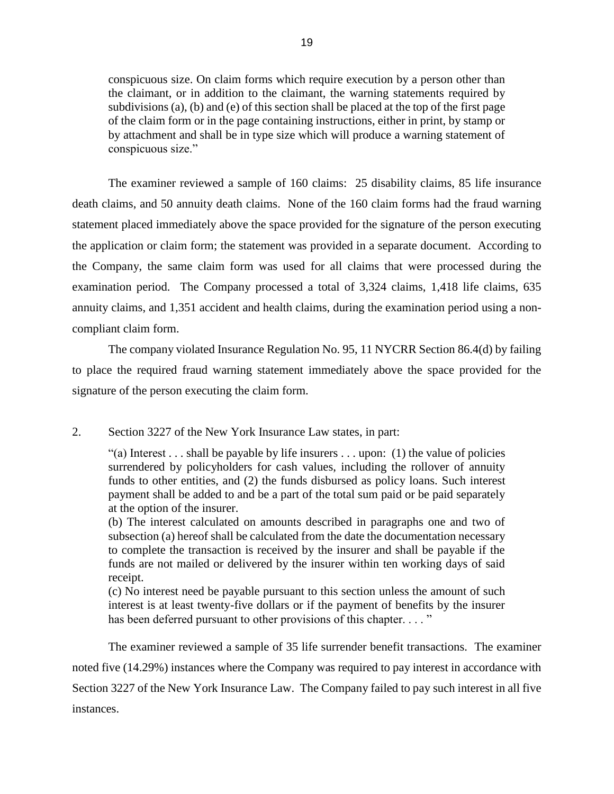conspicuous size. On claim forms which require execution by a person other than subdivisions (a), (b) and (e) of this section shall be placed at the top of the first page of the claim form or in the page containing instructions, either in print, by stamp or by attachment and shall be in type size which will produce a warning statement of the claimant, or in addition to the claimant, the warning statements required by conspicuous size."

 The examiner reviewed a sample of 160 claims: 25 disability claims, 85 life insurance death claims, and 50 annuity death claims. None of the 160 claim forms had the fraud warning statement placed immediately above the space provided for the signature of the person executing the Company, the same claim form was used for all claims that were processed during the annuity claims, and 1,351 accident and health claims, during the examination period using a nonthe application or claim form; the statement was provided in a separate document. According to examination period. The Company processed a total of 3,324 claims, 1,418 life claims, 635 compliant claim form.

 The company violated Insurance Regulation No. 95, 11 NYCRR Section 86.4(d) by failing to place the required fraud warning statement immediately above the space provided for the signature of the person executing the claim form.

#### 2. Section 3227 of the New York Insurance Law states, in part:

"(a) Interest . . . shall be payable by life insurers . . . upon: (1) the value of policies payment shall be added to and be a part of the total sum paid or be paid separately surrendered by policyholders for cash values, including the rollover of annuity funds to other entities, and (2) the funds disbursed as policy loans. Such interest at the option of the insurer.

 (b) The interest calculated on amounts described in paragraphs one and two of subsection (a) hereof shall be calculated from the date the documentation necessary to complete the transaction is received by the insurer and shall be payable if the funds are not mailed or delivered by the insurer within ten working days of said receipt.

 interest is at least twenty-five dollars or if the payment of benefits by the insurer (c) No interest need be payable pursuant to this section unless the amount of such has been deferred pursuant to other provisions of this chapter. . . . "

 The examiner reviewed a sample of 35 life surrender benefit transactions. The examiner Section 3227 of the New York Insurance Law. The Company failed to pay such interest in all five noted five (14.29%) instances where the Company was required to pay interest in accordance with instances.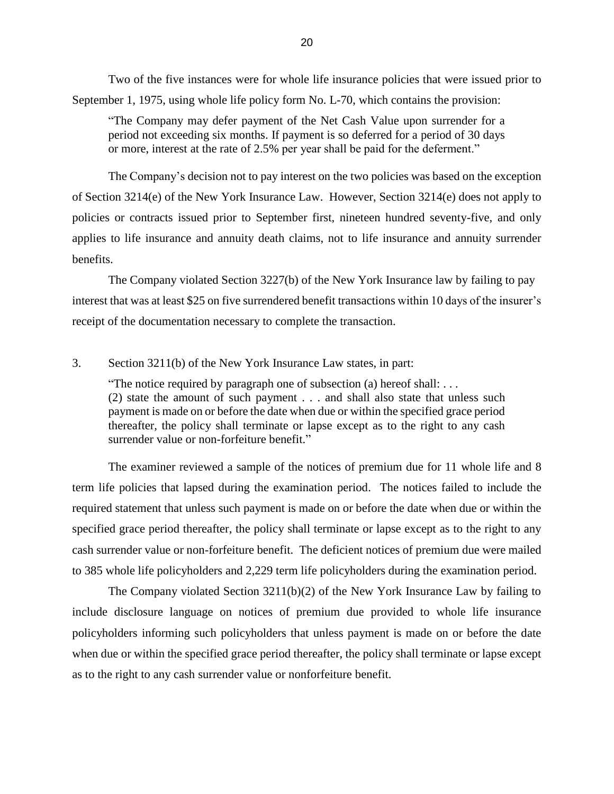Two of the five instances were for whole life insurance policies that were issued prior to September 1, 1975, using whole life policy form No. L-70, which contains the provision:

 "The Company may defer payment of the Net Cash Value upon surrender for a period not exceeding six months. If payment is so deferred for a period of 30 days or more, interest at the rate of 2.5% per year shall be paid for the deferment."

 applies to life insurance and annuity death claims, not to life insurance and annuity surrender The Company's decision not to pay interest on the two policies was based on the exception of Section 3214(e) of the New York Insurance Law. However, Section 3214(e) does not apply to policies or contracts issued prior to September first, nineteen hundred seventy-five, and only benefits.

The Company violated Section 3227(b) of the New York Insurance law by failing to pay interest that was at least \$25 on five surrendered benefit transactions within 10 days of the insurer's receipt of the documentation necessary to complete the transaction.

#### 3. Section 3211(b) of the New York Insurance Law states, in part:

"The notice required by paragraph one of subsection (a) hereof shall:  $\dots$  (2) state the amount of such payment . . . and shall also state that unless such payment is made on or before the date when due or within the specified grace period thereafter, the policy shall terminate or lapse except as to the right to any cash surrender value or non-forfeiture benefit."

 The examiner reviewed a sample of the notices of premium due for 11 whole life and 8 term life policies that lapsed during the examination period. The notices failed to include the specified grace period thereafter, the policy shall terminate or lapse except as to the right to any cash surrender value or non-forfeiture benefit. The deficient notices of premium due were mailed required statement that unless such payment is made on or before the date when due or within the to 385 whole life policyholders and 2,229 term life policyholders during the examination period.

 The Company violated Section 3211(b)(2) of the New York Insurance Law by failing to include disclosure language on notices of premium due provided to whole life insurance policyholders informing such policyholders that unless payment is made on or before the date when due or within the specified grace period thereafter, the policy shall terminate or lapse except as to the right to any cash surrender value or nonforfeiture benefit.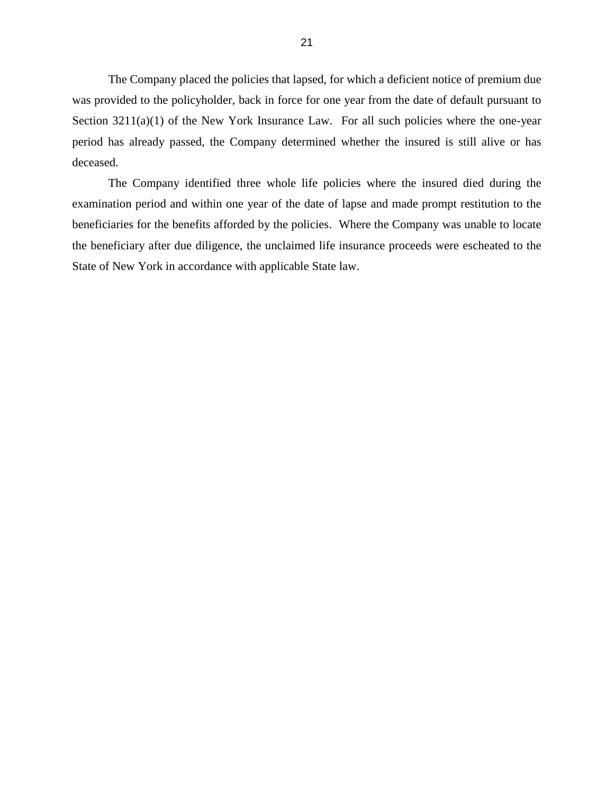The Company placed the policies that lapsed, for which a deficient notice of premium due was provided to the policyholder, back in force for one year from the date of default pursuant to Section 3211(a)(1) of the New York Insurance Law. For all such policies where the one-year period has already passed, the Company determined whether the insured is still alive or has deceased.

 The Company identified three whole life policies where the insured died during the examination period and within one year of the date of lapse and made prompt restitution to the the beneficiary after due diligence, the unclaimed life insurance proceeds were escheated to the beneficiaries for the benefits afforded by the policies. Where the Company was unable to locate State of New York in accordance with applicable State law.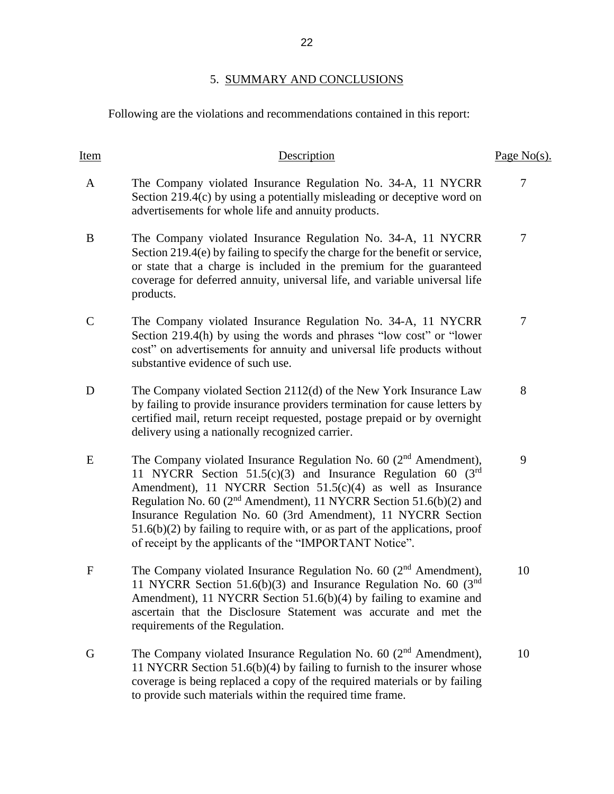### 5. SUMMARY AND CONCLUSIONS

Following are the violations and recommendations contained in this report:

| Item         | Description                                                                                                                                                                                                                                                                                                                                                                                                                                                                                            | Page $No(s)$ . |
|--------------|--------------------------------------------------------------------------------------------------------------------------------------------------------------------------------------------------------------------------------------------------------------------------------------------------------------------------------------------------------------------------------------------------------------------------------------------------------------------------------------------------------|----------------|
| $\mathbf{A}$ | The Company violated Insurance Regulation No. 34-A, 11 NYCRR<br>Section 219.4(c) by using a potentially misleading or deceptive word on<br>advertisements for whole life and annuity products.                                                                                                                                                                                                                                                                                                         | $\overline{7}$ |
| B            | The Company violated Insurance Regulation No. 34-A, 11 NYCRR<br>Section 219.4(e) by failing to specify the charge for the benefit or service,<br>or state that a charge is included in the premium for the guaranteed<br>coverage for deferred annuity, universal life, and variable universal life<br>products.                                                                                                                                                                                       | 7              |
| $\mathsf{C}$ | The Company violated Insurance Regulation No. 34-A, 11 NYCRR<br>Section 219.4(h) by using the words and phrases "low cost" or "lower<br>cost" on advertisements for annuity and universal life products without<br>substantive evidence of such use.                                                                                                                                                                                                                                                   | $\overline{7}$ |
| D            | The Company violated Section 2112(d) of the New York Insurance Law<br>by failing to provide insurance providers termination for cause letters by<br>certified mail, return receipt requested, postage prepaid or by overnight<br>delivery using a nationally recognized carrier.                                                                                                                                                                                                                       | 8              |
| E            | The Company violated Insurance Regulation No. 60 $(2nd$ Amendment),<br>11 NYCRR Section 51.5(c)(3) and Insurance Regulation 60 ( $3rd$<br>Amendment), 11 NYCRR Section 51.5(c)(4) as well as Insurance<br>Regulation No. 60 (2 <sup>nd</sup> Amendment), 11 NYCRR Section 51.6(b)(2) and<br>Insurance Regulation No. 60 (3rd Amendment), 11 NYCRR Section<br>$51.6(b)(2)$ by failing to require with, or as part of the applications, proof<br>of receipt by the applicants of the "IMPORTANT Notice". | 9              |
| $\mathbf{F}$ | The Company violated Insurance Regulation No. 60 $(2nd$ Amendment),<br>11 NYCRR Section 51.6(b)(3) and Insurance Regulation No. 60 (3 <sup>nd</sup><br>Amendment), 11 NYCRR Section 51.6(b)(4) by failing to examine and<br>ascertain that the Disclosure Statement was accurate and met the<br>requirements of the Regulation.                                                                                                                                                                        | 10             |
| G            | The Company violated Insurance Regulation No. 60 $(2nd$ Amendment),<br>11 NYCRR Section $51.6(b)(4)$ by failing to furnish to the insurer whose<br>coverage is being replaced a copy of the required materials or by failing<br>to provide such materials within the required time frame.                                                                                                                                                                                                              | 10             |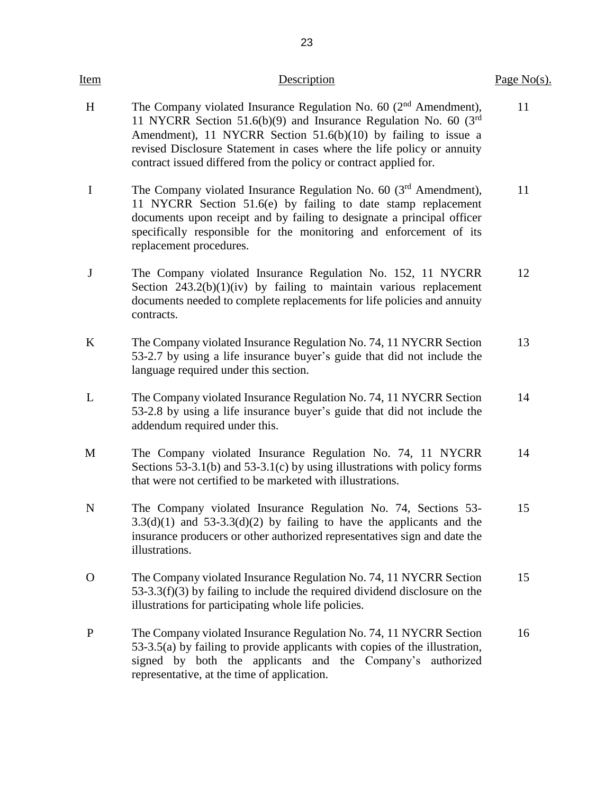| <u>Item</u>  | Description                                                                                                                                                                                                                                                                                                                                                   | Page $No(s)$ . |
|--------------|---------------------------------------------------------------------------------------------------------------------------------------------------------------------------------------------------------------------------------------------------------------------------------------------------------------------------------------------------------------|----------------|
| H            | The Company violated Insurance Regulation No. 60 $(2nd$ Amendment),<br>11 NYCRR Section 51.6(b)(9) and Insurance Regulation No. 60 ( $3rd$<br>Amendment), 11 NYCRR Section $51.6(b)(10)$ by failing to issue a<br>revised Disclosure Statement in cases where the life policy or annuity<br>contract issued differed from the policy or contract applied for. | 11             |
| $\bf{I}$     | The Company violated Insurance Regulation No. 60 $(3rd$ Amendment),<br>11 NYCRR Section 51.6(e) by failing to date stamp replacement<br>documents upon receipt and by failing to designate a principal officer<br>specifically responsible for the monitoring and enforcement of its<br>replacement procedures.                                               | 11             |
| J            | The Company violated Insurance Regulation No. 152, 11 NYCRR<br>Section $243.2(b)(1)(iv)$ by failing to maintain various replacement<br>documents needed to complete replacements for life policies and annuity<br>contracts.                                                                                                                                  | 12             |
| K            | The Company violated Insurance Regulation No. 74, 11 NYCRR Section<br>53-2.7 by using a life insurance buyer's guide that did not include the<br>language required under this section.                                                                                                                                                                        | 13             |
| L            | The Company violated Insurance Regulation No. 74, 11 NYCRR Section<br>53-2.8 by using a life insurance buyer's guide that did not include the<br>addendum required under this.                                                                                                                                                                                | 14             |
| M            | The Company violated Insurance Regulation No. 74, 11 NYCRR<br>Sections 53-3.1(b) and 53-3.1(c) by using illustrations with policy forms<br>that were not certified to be marketed with illustrations.                                                                                                                                                         | 14             |
| $\mathbf N$  | The Company violated Insurance Regulation No. 74, Sections 53-<br>$3.3(d)(1)$ and $53-3.3(d)(2)$ by failing to have the applicants and the<br>insurance producers or other authorized representatives sign and date the<br>illustrations.                                                                                                                     | 15             |
| $\mathbf{O}$ | The Company violated Insurance Regulation No. 74, 11 NYCRR Section<br>$53-3.3(f)(3)$ by failing to include the required dividend disclosure on the<br>illustrations for participating whole life policies.                                                                                                                                                    | 15             |
| $\mathbf{P}$ | The Company violated Insurance Regulation No. 74, 11 NYCRR Section<br>53-3.5(a) by failing to provide applicants with copies of the illustration,<br>signed by both the applicants and the Company's authorized<br>representative, at the time of application.                                                                                                | 16             |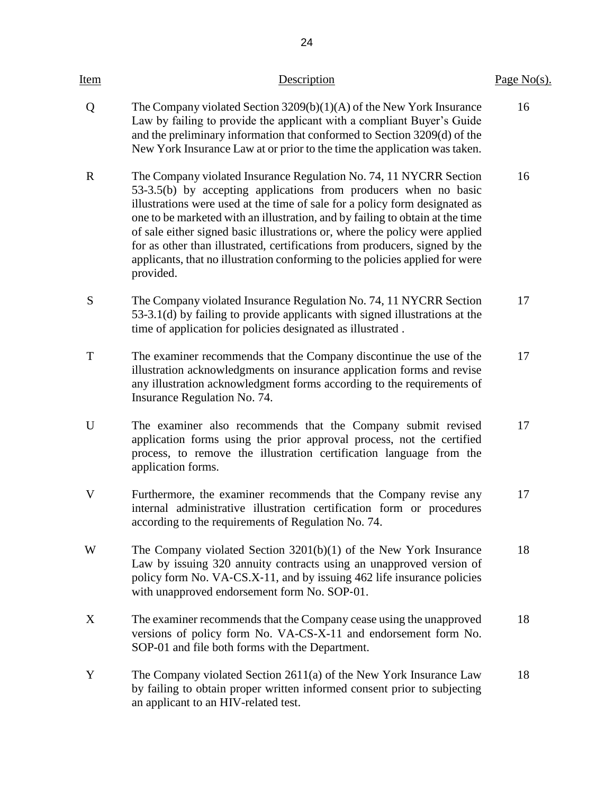| Item        | Description                                                                                                                                                                                                                                                                                                                                                                                                                                                                                                                                                       | Page $No(s)$ . |
|-------------|-------------------------------------------------------------------------------------------------------------------------------------------------------------------------------------------------------------------------------------------------------------------------------------------------------------------------------------------------------------------------------------------------------------------------------------------------------------------------------------------------------------------------------------------------------------------|----------------|
| Q           | The Company violated Section $3209(b)(1)(A)$ of the New York Insurance<br>Law by failing to provide the applicant with a compliant Buyer's Guide<br>and the preliminary information that conformed to Section 3209(d) of the<br>New York Insurance Law at or prior to the time the application was taken.                                                                                                                                                                                                                                                         | 16             |
| $\mathbf R$ | The Company violated Insurance Regulation No. 74, 11 NYCRR Section<br>53-3.5(b) by accepting applications from producers when no basic<br>illustrations were used at the time of sale for a policy form designated as<br>one to be marketed with an illustration, and by failing to obtain at the time<br>of sale either signed basic illustrations or, where the policy were applied<br>for as other than illustrated, certifications from producers, signed by the<br>applicants, that no illustration conforming to the policies applied for were<br>provided. | 16             |
| S           | The Company violated Insurance Regulation No. 74, 11 NYCRR Section<br>53-3.1(d) by failing to provide applicants with signed illustrations at the<br>time of application for policies designated as illustrated.                                                                                                                                                                                                                                                                                                                                                  | 17             |
| T           | The examiner recommends that the Company discontinue the use of the<br>illustration acknowledgments on insurance application forms and revise<br>any illustration acknowledgment forms according to the requirements of<br>Insurance Regulation No. 74.                                                                                                                                                                                                                                                                                                           | 17             |
| U           | The examiner also recommends that the Company submit revised<br>application forms using the prior approval process, not the certified<br>process, to remove the illustration certification language from the<br>application forms.                                                                                                                                                                                                                                                                                                                                | 17             |
| V           | Furthermore, the examiner recommends that the Company revise any<br>internal administrative illustration certification form or procedures<br>according to the requirements of Regulation No. 74.                                                                                                                                                                                                                                                                                                                                                                  | 17             |
| W           | The Company violated Section $3201(b)(1)$ of the New York Insurance<br>Law by issuing 320 annuity contracts using an unapproved version of<br>policy form No. VA-CS.X-11, and by issuing 462 life insurance policies<br>with unapproved endorsement form No. SOP-01.                                                                                                                                                                                                                                                                                              | 18             |
| X           | The examiner recommends that the Company cease using the unapproved<br>versions of policy form No. VA-CS-X-11 and endorsement form No.<br>SOP-01 and file both forms with the Department.                                                                                                                                                                                                                                                                                                                                                                         | 18             |
| Y           | The Company violated Section 2611(a) of the New York Insurance Law<br>by failing to obtain proper written informed consent prior to subjecting<br>an applicant to an HIV-related test.                                                                                                                                                                                                                                                                                                                                                                            | 18             |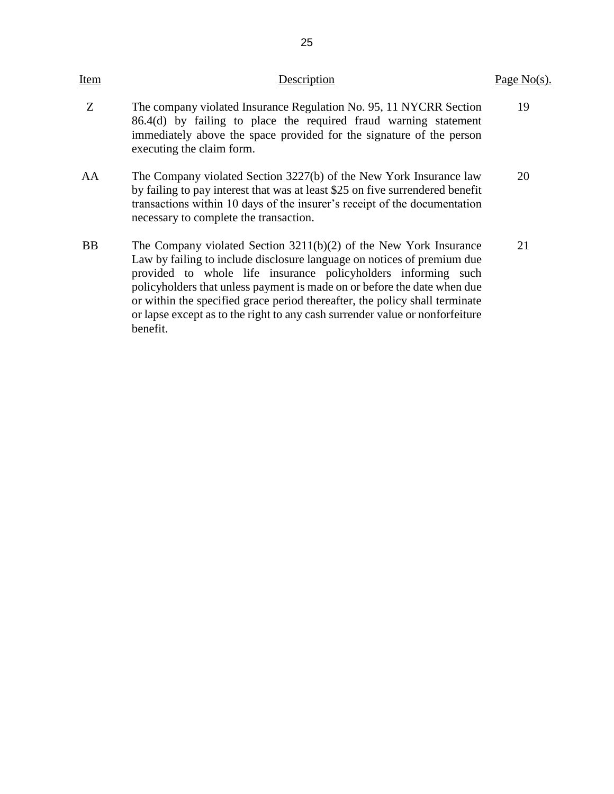| Item      | Description                                                                                                                                                                                                                                                                                                                                                                                                                                                            | Page $No(s)$ . |
|-----------|------------------------------------------------------------------------------------------------------------------------------------------------------------------------------------------------------------------------------------------------------------------------------------------------------------------------------------------------------------------------------------------------------------------------------------------------------------------------|----------------|
| Z         | The company violated Insurance Regulation No. 95, 11 NYCRR Section<br>86.4(d) by failing to place the required fraud warning statement<br>immediately above the space provided for the signature of the person<br>executing the claim form.                                                                                                                                                                                                                            | 19             |
| AA        | The Company violated Section 3227(b) of the New York Insurance law<br>by failing to pay interest that was at least \$25 on five surrendered benefit<br>transactions within 10 days of the insurer's receipt of the documentation<br>necessary to complete the transaction.                                                                                                                                                                                             | 20             |
| <b>BB</b> | The Company violated Section $3211(b)(2)$ of the New York Insurance<br>Law by failing to include disclosure language on notices of premium due<br>provided to whole life insurance policyholders informing such<br>policyholders that unless payment is made on or before the date when due<br>or within the specified grace period thereafter, the policy shall terminate<br>or lapse except as to the right to any cash surrender value or nonforfeiture<br>benefit. | 21             |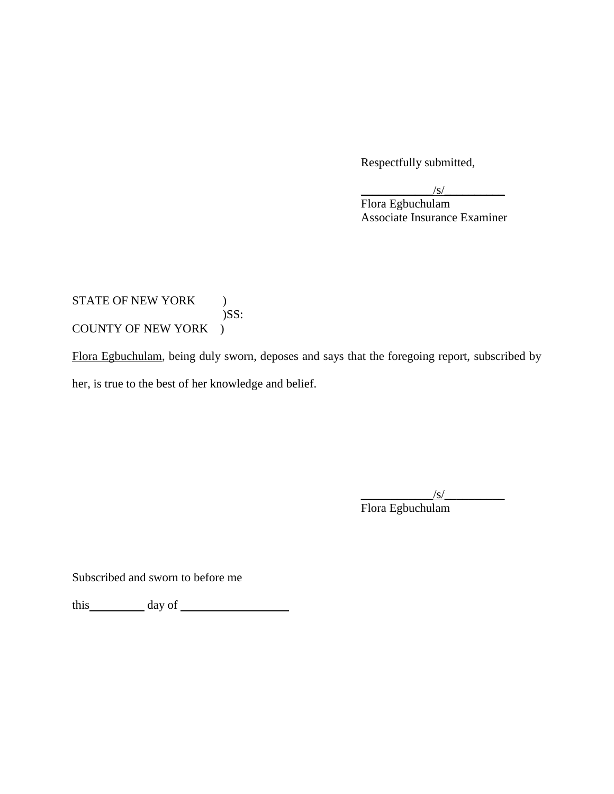Respectfully submitted,

| $\sqrt{s}$                          |
|-------------------------------------|
| Flora Egbuchulam                    |
| <b>Associate Insurance Examiner</b> |

### STATE OF NEW YORK ) COUNTY OF NEW YORK ) )SS:

Flora Egbuchulam, being duly sworn, deposes and says that the foregoing report, subscribed by her, is true to the best of her knowledge and belief.

> $\sqrt{s/2}$ Flora Egbuchulam

Subscribed and sworn to before me

this day of